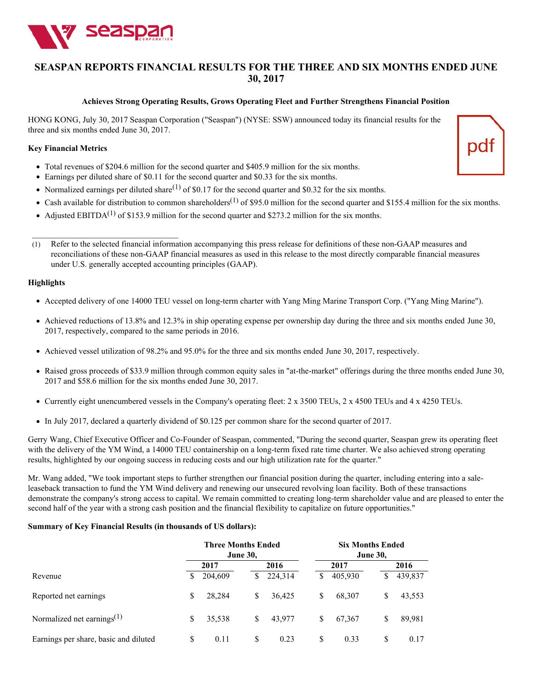

\_\_\_\_\_\_\_\_\_\_\_\_\_\_\_\_\_\_\_\_\_\_\_\_\_\_\_\_\_\_\_\_\_\_\_

# **SEASPAN REPORTS FINANCIAL RESULTS FOR THE THREE AND SIX MONTHS ENDED JUNE 30, 2017**

#### **Achieves Strong Operating Results, Grows Operating Fleet and Further Strengthens Financial Position**

HONG KONG, July 30, 2017 Seaspan Corporation ("Seaspan") (NYSE: SSW) announced today its financial results for the three and six months ended June 30, 2017.

#### **Key Financial Metrics**

- Total revenues of \$204.6 million for the second quarter and \$405.9 million for the six months.
- Earnings per diluted share of \$0.11 for the second quarter and \$0.33 for the six months.
- Normalized earnings per diluted share<sup>(1)</sup> of \$0.17 for the second quarter and \$0.32 for the six months.
- Cash available for distribution to common shareholders<sup>(1)</sup> of \$95.0 million for the second quarter and \$155.4 million for the six months.
- Adjusted EBITDA<sup>(1)</sup> of \$153.9 million for the second quarter and \$273.2 million for the six months.
- (1) Refer to the selected financial information accompanying this press release for definitions of these non-GAAP measures and reconciliations of these non-GAAP financial measures as used in this release to the most directly comparable financial measures under U.S. generally accepted accounting principles (GAAP).

### **Highlights**

- Accepted delivery of one 14000 TEU vessel on long-term charter with Yang Ming Marine Transport Corp. ("Yang Ming Marine").
- Achieved reductions of 13.8% and 12.3% in ship operating expense per ownership day during the three and six months ended June 30, 2017, respectively, compared to the same periods in 2016.
- Achieved vessel utilization of 98.2% and 95.0% for the three and six months ended June 30, 2017, respectively.
- Raised gross proceeds of \$33.9 million through common equity sales in "at-the-market" offerings during the three months ended June 30, 2017 and \$58.6 million for the six months ended June 30, 2017.
- Currently eight unencumbered vessels in the Company's operating fleet: 2 x 3500 TEUs, 2 x 4500 TEUs and 4 x 4250 TEUs.
- In July 2017, declared a quarterly dividend of \$0.125 per common share for the second quarter of 2017.

Gerry Wang, Chief Executive Officer and Co-Founder of Seaspan, commented, "During the second quarter, Seaspan grew its operating fleet with the delivery of the YM Wind, a 14000 TEU containership on a long-term fixed rate time charter. We also achieved strong operating results, highlighted by our ongoing success in reducing costs and our high utilization rate for the quarter."

Mr. Wang added, "We took important steps to further strengthen our financial position during the quarter, including entering into a saleleaseback transaction to fund the YM Wind delivery and renewing our unsecured revolving loan facility. Both of these transactions demonstrate the company's strong access to capital. We remain committed to creating long-term shareholder value and are pleased to enter the second half of the year with a strong cash position and the financial flexibility to capitalize on future opportunities."

#### **Summary of Key Financial Results (in thousands of US dollars):**

|                                       | <b>Three Months Ended</b><br><b>June 30,</b> |         |    | <b>Six Months Ended</b><br><b>June 30,</b> |    |         |    |         |
|---------------------------------------|----------------------------------------------|---------|----|--------------------------------------------|----|---------|----|---------|
|                                       |                                              | 2017    |    | 2016                                       |    | 2017    |    | 2016    |
| Revenue                               | S                                            | 204,609 | S  | 224,314                                    | S  | 405,930 | S  | 439,837 |
| Reported net earnings                 | \$                                           | 28,284  | \$ | 36,425                                     | \$ | 68,307  | \$ | 43,553  |
| Normalized net earnings $^{(1)}$      | \$                                           | 35,538  | \$ | 43,977                                     | \$ | 67.367  | \$ | 89,981  |
| Earnings per share, basic and diluted | \$                                           | 0.11    | \$ | 0.23                                       | S  | 0.33    | S  | 0.17    |

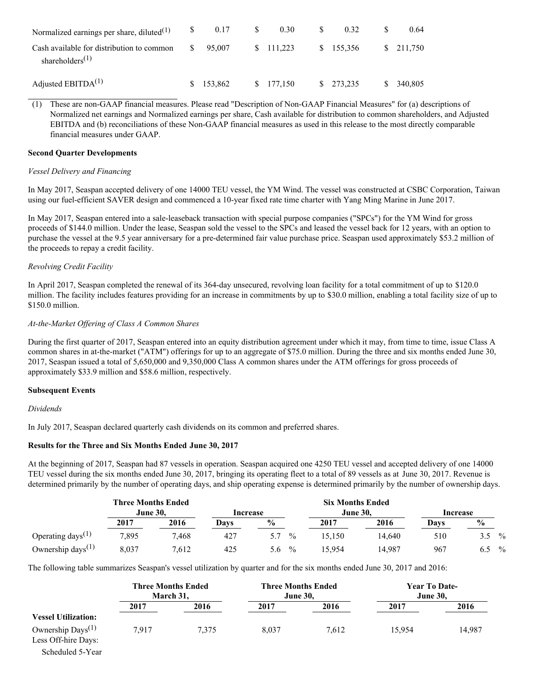| Normalized earnings per share, diluted $(1)$                                          |    | 0.17       | 0.30       | 0.32       | 0.64                 |
|---------------------------------------------------------------------------------------|----|------------|------------|------------|----------------------|
| Cash available for distribution to common<br>shareholders <sup><math>(1)</math></sup> | S. | 95,007     | \$ 111,223 | \$155,356  | $\frac{\$}{211.750}$ |
| Adjusted EBITDA $^{(1)}$                                                              |    | \$ 153,862 | \$ 177,150 | \$ 273,235 | \$ 340,805           |

(1) These are non-GAAP financial measures. Please read "Description of Non-GAAP Financial Measures" for (a) descriptions of Normalized net earnings and Normalized earnings per share, Cash available for distribution to common shareholders, and Adjusted EBITDA and (b) reconciliations of these Non-GAAP financial measures as used in this release to the most directly comparable financial measures under GAAP.

### **Second Quarter Developments**

### *Vessel Delivery and Financing*

In May 2017, Seaspan accepted delivery of one 14000 TEU vessel, the YM Wind. The vessel was constructed at CSBC Corporation, Taiwan using our fuel-efficient SAVER design and commenced a 10-year fixed rate time charter with Yang Ming Marine in June 2017.

In May 2017, Seaspan entered into a sale-leaseback transaction with special purpose companies ("SPCs") for the YM Wind for gross proceeds of \$144.0 million. Under the lease, Seaspan sold the vessel to the SPCs and leased the vessel back for 12 years, with an option to purchase the vessel at the 9.5 year anniversary for a pre-determined fair value purchase price. Seaspan used approximately \$53.2 million of the proceeds to repay a credit facility.

## *Revolving Credit Facility*

In April 2017, Seaspan completed the renewal of its 364-day unsecured, revolving loan facility for a total commitment of up to \$120.0 million. The facility includes features providing for an increase in commitments by up to \$30.0 million, enabling a total facility size of up to \$150.0 million.

## *At-the-Market Of ering of Class A Common Shares*

During the first quarter of 2017, Seaspan entered into an equity distribution agreement under which it may, from time to time, issue Class A common shares in at-the-market ("ATM") offerings for up to an aggregate of \$75.0 million. During the three and six months ended June 30, 2017, Seaspan issued a total of 5,650,000 and 9,350,000 Class A common shares under the ATM offerings for gross proceeds of approximately \$33.9 million and \$58.6 million, respectively.

## **Subsequent Events**

## *Dividends*

In July 2017, Seaspan declared quarterly cash dividends on its common and preferred shares.

## **Results for the Three and Six Months Ended June 30, 2017**

At the beginning of 2017, Seaspan had 87 vessels in operation. Seaspan acquired one 4250 TEU vessel and accepted delivery of one 14000 TEU vessel during the six months ended June 30, 2017, bringing its operating fleet to a total of 89 vessels as at June 30, 2017. Revenue is determined primarily by the number of operating days, and ship operating expense is determined primarily by the number of ownership days.

|                                            | <b>Three Months Ended</b> |       |          |                      | <b>Six Months Ended</b> |        |          |      |               |
|--------------------------------------------|---------------------------|-------|----------|----------------------|-------------------------|--------|----------|------|---------------|
|                                            | <b>June 30.</b>           |       | Increase |                      | <b>June 30.</b>         |        | Increase |      |               |
|                                            | 2017                      | 2016  | Davs     | $\frac{6}{10}$       | 2017                    | 2016   | Davs     | $\%$ |               |
| Operating days <sup><math>(1)</math></sup> | 7,895                     | 7.468 | 427      | $\frac{0}{0}$        | 15.150                  | 14.640 | 510      | 3.5  | $\frac{0}{0}$ |
| Ownership days <sup>(1)</sup>              | 8,037                     | 7,612 | 425      | $\frac{0}{0}$<br>5.6 | 15.954                  | 14.987 | 967      | 6.5  | $\frac{0}{0}$ |

The following table summarizes Seaspan's vessel utilization by quarter and for the six months ended June 30, 2017 and 2016:

|                                               | <b>Three Months Ended</b><br>March 31. |       | <b>Three Months Ended</b><br><b>June 30.</b> |       | Year To Date-<br><b>June 30.</b> |        |
|-----------------------------------------------|----------------------------------------|-------|----------------------------------------------|-------|----------------------------------|--------|
|                                               | 2017                                   | 2016  | 2017                                         | 2016  | 2017                             | 2016   |
| <b>Vessel Utilization:</b>                    |                                        |       |                                              |       |                                  |        |
| Ownership $Days^{(1)}$<br>Less Off-hire Days: | 7.917                                  | 7.375 | 8.037                                        | 7.612 | 15.954                           | 14,987 |

Scheduled 5-Year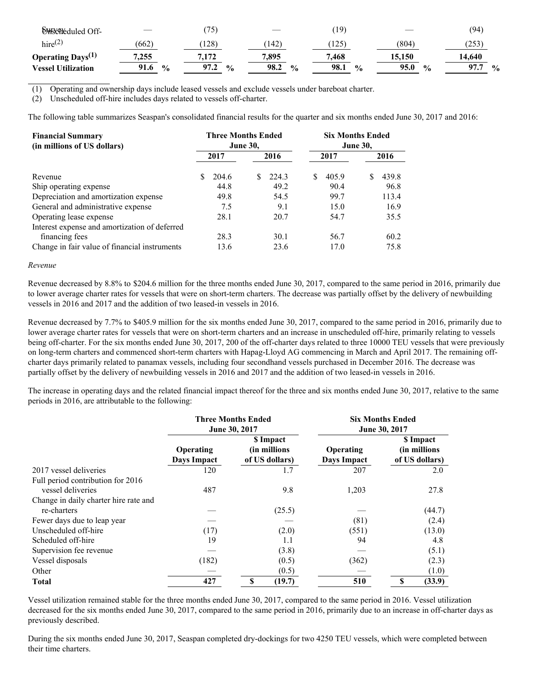| <b>OHSCheduled Off-</b>   | ___                   | 75 <sub>1</sub>       | __           | $\overline{19}$       |                       | (94)                  |
|---------------------------|-----------------------|-----------------------|--------------|-----------------------|-----------------------|-----------------------|
| $hire^{(2)}$              | (662)                 | 128)                  | 142          | 125                   | (804)                 | (253)                 |
| Operating $Days^{(1)}$    | 7,255                 | 7,172                 | 7,895        | 7,468                 | 15,150                | 14.640                |
| <b>Vessel Utilization</b> | 91.6<br>$\frac{0}{0}$ | 97.2<br>$\frac{6}{9}$ | 98.2<br>$\%$ | 98.1<br>$\frac{0}{0}$ | 95.0<br>$\frac{0}{0}$ | 97.7<br>$\frac{0}{0}$ |

(1) Operating and ownership days include leased vessels and exclude vessels under bareboat charter.

(2) Unscheduled off-hire includes days related to vessels off-charter.

The following table summarizes Seaspan's consolidated financial results for the quarter and six months ended June 30, 2017 and 2016:

| <b>Financial Summary</b><br>(in millions of US dollars) |  | <b>Three Months Ended</b> | <b>June 30,</b> |       | <b>Six Months Ended</b><br><b>June 30,</b> |       |  |       |
|---------------------------------------------------------|--|---------------------------|-----------------|-------|--------------------------------------------|-------|--|-------|
|                                                         |  | 2017                      |                 | 2016  |                                            | 2017  |  | 2016  |
| Revenue                                                 |  | 204.6                     | S               | 224.3 | S                                          | 405.9 |  | 439.8 |
| Ship operating expense                                  |  | 44.8                      |                 | 49.2  |                                            | 90.4  |  | 96.8  |
| Depreciation and amortization expense                   |  | 49.8                      |                 | 54.5  |                                            | 99.7  |  | 113.4 |
| General and administrative expense                      |  | 7.5                       |                 | 9.1   |                                            | 15.0  |  | 16.9  |
| Operating lease expense                                 |  | 28.1                      |                 | 20.7  |                                            | 54.7  |  | 35.5  |
| Interest expense and amortization of deferred           |  |                           |                 |       |                                            |       |  |       |
| financing fees                                          |  | 28.3                      |                 | 30.1  |                                            | 56.7  |  | 60.2  |
| Change in fair value of financial instruments           |  | 13.6                      |                 | 23.6  |                                            | 17.0  |  | 75.8  |

#### *Revenue*

Revenue decreased by 8.8% to \$204.6 million for the three months ended June 30, 2017, compared to the same period in 2016, primarily due to lower average charter rates for vessels that were on short-term charters. The decrease was partially offset by the delivery of newbuilding vessels in 2016 and 2017 and the addition of two leased-in vessels in 2016.

Revenue decreased by 7.7% to \$405.9 million for the six months ended June 30, 2017, compared to the same period in 2016, primarily due to lower average charter rates for vessels that were on short-term charters and an increase in unscheduled off-hire, primarily relating to vessels being off-charter. For the six months ended June 30, 2017, 200 of the off-charter days related to three 10000 TEU vessels that were previously on long-term charters and commenced short-term charters with Hapag-Lloyd AG commencing in March and April 2017. The remaining offcharter days primarily related to panamax vessels, including four secondhand vessels purchased in December 2016. The decrease was partially offset by the delivery of newbuilding vessels in 2016 and 2017 and the addition of two leased-in vessels in 2016.

The increase in operating days and the related financial impact thereof for the three and six months ended June 30, 2017, relative to the same periods in 2016, are attributable to the following:

|                                       |                          | <b>Three Months Ended</b><br>June 30, 2017   | <b>Six Months Ended</b><br>June 30, 2017 |                                              |  |  |
|---------------------------------------|--------------------------|----------------------------------------------|------------------------------------------|----------------------------------------------|--|--|
|                                       | Operating<br>Days Impact | \$ Impact<br>(in millions)<br>of US dollars) | Operating<br>Days Impact                 | \$ Impact<br>(in millions)<br>of US dollars) |  |  |
| 2017 vessel deliveries                | 120                      | 1.7                                          | 207                                      | 2.0                                          |  |  |
| Full period contribution for 2016     |                          |                                              |                                          |                                              |  |  |
| vessel deliveries                     | 487                      | 9.8                                          | 1,203                                    | 27.8                                         |  |  |
| Change in daily charter hire rate and |                          |                                              |                                          |                                              |  |  |
| re-charters                           |                          | (25.5)                                       |                                          | (44.7)                                       |  |  |
| Fewer days due to leap year           |                          |                                              | (81)                                     | (2.4)                                        |  |  |
| Unscheduled off-hire                  | (17)                     | (2.0)                                        | (551)                                    | (13.0)                                       |  |  |
| Scheduled off-hire                    | 19                       | 1.1                                          | 94                                       | 4.8                                          |  |  |
| Supervision fee revenue               |                          | (3.8)                                        |                                          | (5.1)                                        |  |  |
| Vessel disposals                      | (182)                    | (0.5)                                        | (362)                                    | (2.3)                                        |  |  |
| Other                                 |                          | (0.5)                                        |                                          | (1.0)                                        |  |  |
| <b>Total</b>                          | 427                      | (19.7)<br>\$                                 | 510                                      | \$<br>(33.9)                                 |  |  |

Vessel utilization remained stable for the three months ended June 30, 2017, compared to the same period in 2016. Vessel utilization decreased for the six months ended June 30, 2017, compared to the same period in 2016, primarily due to an increase in off-charter days as previously described.

During the six months ended June 30, 2017, Seaspan completed dry-dockings for two 4250 TEU vessels, which were completed between their time charters.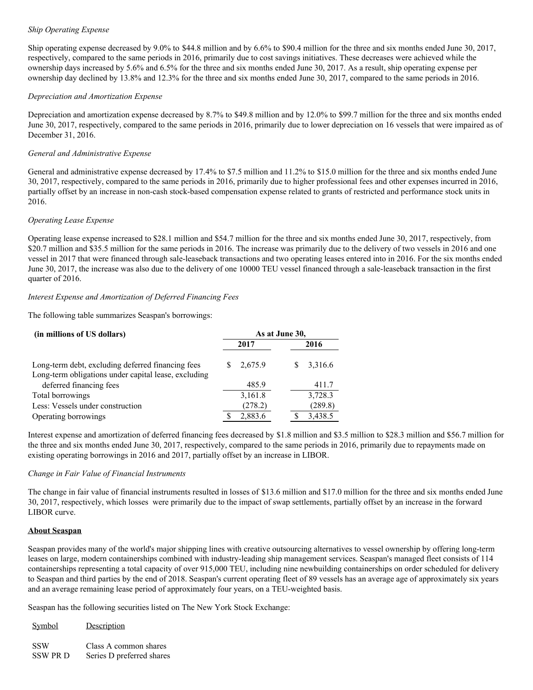## *Ship Operating Expense*

Ship operating expense decreased by 9.0% to \$44.8 million and by 6.6% to \$90.4 million for the three and six months ended June 30, 2017, respectively, compared to the same periods in 2016, primarily due to cost savings initiatives. These decreases were achieved while the ownership days increased by 5.6% and 6.5% for the three and six months ended June 30, 2017. As a result, ship operating expense per ownership day declined by 13.8% and 12.3% for the three and six months ended June 30, 2017, compared to the same periods in 2016.

### *Depreciation and Amortization Expense*

Depreciation and amortization expense decreased by 8.7% to \$49.8 million and by 12.0% to \$99.7 million for the three and six months ended June 30, 2017, respectively, compared to the same periods in 2016, primarily due to lower depreciation on 16 vessels that were impaired as of December 31, 2016.

### *General and Administrative Expense*

General and administrative expense decreased by 17.4% to \$7.5 million and 11.2% to \$15.0 million for the three and six months ended June 30, 2017, respectively, compared to the same periods in 2016, primarily due to higher professional fees and other expenses incurred in 2016, partially offset by an increase in non-cash stock-based compensation expense related to grants of restricted and performance stock units in 2016.

### *Operating Lease Expense*

Operating lease expense increased to \$28.1 million and \$54.7 million for the three and six months ended June 30, 2017, respectively, from \$20.7 million and \$35.5 million for the same periods in 2016. The increase was primarily due to the delivery of two vessels in 2016 and one vessel in 2017 that were financed through sale-leaseback transactions and two operating leases entered into in 2016. For the six months ended June 30, 2017, the increase was also due to the delivery of one 10000 TEU vessel financed through a sale-leaseback transaction in the first quarter of 2016.

## *Interest Expense and Amortization of Deferred Financing Fees*

The following table summarizes Seaspan's borrowings:

| (in millions of US dollars)                                                                               | As at June 30, |         |  |              |  |  |
|-----------------------------------------------------------------------------------------------------------|----------------|---------|--|--------------|--|--|
|                                                                                                           |                | 2017    |  | 2016         |  |  |
| Long-term debt, excluding deferred financing fees<br>Long-term obligations under capital lease, excluding | S              | 2,675.9 |  | 3,316.6<br>S |  |  |
| deferred financing fees                                                                                   |                | 485.9   |  | 411.7        |  |  |
| Total borrowings                                                                                          |                | 3,161.8 |  | 3,728.3      |  |  |
| Less: Vessels under construction                                                                          |                | (278.2) |  | (289.8)      |  |  |
| Operating borrowings                                                                                      |                | 2,883.6 |  | 3,438.5      |  |  |

Interest expense and amortization of deferred financing fees decreased by \$1.8 million and \$3.5 million to \$28.3 million and \$56.7 million for the three and six months ended June 30, 2017, respectively, compared to the same periods in 2016, primarily due to repayments made on existing operating borrowings in 2016 and 2017, partially offset by an increase in LIBOR.

#### *Change in Fair Value of Financial Instruments*

The change in fair value of financial instruments resulted in losses of \$13.6 million and \$17.0 million for the three and six months ended June 30, 2017, respectively, which losses were primarily due to the impact of swap settlements, partially offset by an increase in the forward LIBOR curve.

## **About Seaspan**

Seaspan provides many of the world's major shipping lines with creative outsourcing alternatives to vessel ownership by offering long-term leases on large, modern containerships combined with industry-leading ship management services. Seaspan's managed fleet consists of 114 containerships representing a total capacity of over 915,000 TEU, including nine newbuilding containerships on order scheduled for delivery to Seaspan and third parties by the end of 2018. Seaspan's current operating fleet of 89 vessels has an average age of approximately six years and an average remaining lease period of approximately four years, on a TEU-weighted basis.

Seaspan has the following securities listed on The New York Stock Exchange:

| Symbol     | Description               |
|------------|---------------------------|
| <b>SSW</b> | Class A common shares     |
| SSW PR D   | Series D preferred shares |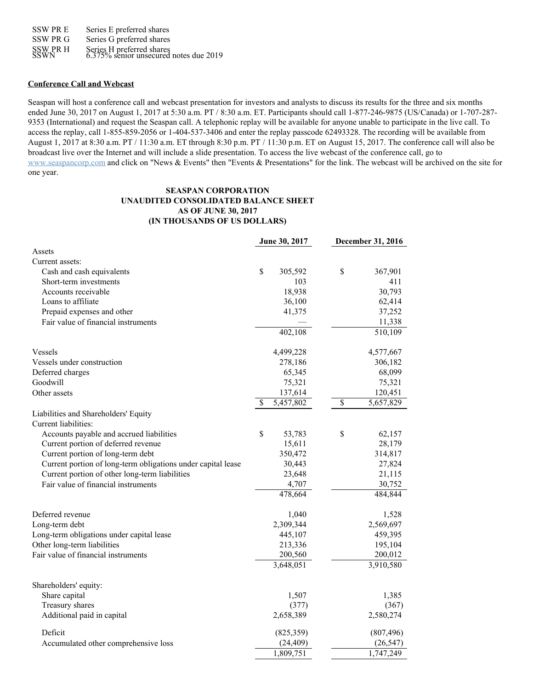SSW PR E SSW PR G SSW PR H Series E preferred shares Series G preferred shares Series H preferred shares<br>6.375% senior unsecured notes due 2019

#### **Conference Call and Webcast**

Seaspan will host a conference call and webcast presentation for investors and analysts to discuss its results for the three and six months ended June 30, 2017 on August 1, 2017 at 5:30 a.m. PT / 8:30 a.m. ET. Participants should call 1-877-246-9875 (US/Canada) or 1-707-287- 9353 (International) and request the Seaspan call. A telephonic replay will be available for anyone unable to participate in the live call. To access the replay, call 1-855-859-2056 or 1-404-537-3406 and enter the replay passcode 62493328. The recording will be available from August 1, 2017 at 8:30 a.m. PT / 11:30 a.m. ET through 8:30 p.m. PT / 11:30 p.m. ET on August 15, 2017. The conference call will also be broadcast live over the Internet and will include a slide presentation. To access the live webcast of the conference call, go to [www.seaspancorp.com](http://www.seaspancorp.com/) and click on "News & Events" then "Events & Presentations" for the link. The webcast will be archived on the site for one year.

### **SEASPAN CORPORATION UNAUDITED CONSOLIDATED BALANCE SHEET AS OF JUNE 30, 2017 (IN THOUSANDS OF US DOLLARS)**

|                                                              |              | June 30, 2017 | December 31, 2016 |
|--------------------------------------------------------------|--------------|---------------|-------------------|
| Assets                                                       |              |               |                   |
| Current assets:                                              |              |               |                   |
| Cash and cash equivalents                                    | \$           | 305,592       | \$<br>367,901     |
| Short-term investments                                       |              | 103           | 411               |
| Accounts receivable                                          |              | 18,938        | 30,793            |
| Loans to affiliate                                           |              | 36,100        | 62,414            |
| Prepaid expenses and other                                   |              | 41,375        | 37,252            |
| Fair value of financial instruments                          |              |               | 11,338            |
|                                                              |              | 402,108       | 510,109           |
| Vessels                                                      |              | 4,499,228     | 4,577,667         |
| Vessels under construction                                   |              | 278,186       | 306,182           |
| Deferred charges                                             |              | 65,345        | 68,099            |
| Goodwill                                                     |              | 75,321        | 75,321            |
| Other assets                                                 |              | 137,614       | 120,451           |
|                                                              | $\mathbb{S}$ | 5,457,802     | \$<br>5,657,829   |
| Liabilities and Shareholders' Equity<br>Current liabilities: |              |               |                   |
| Accounts payable and accrued liabilities                     | \$           | 53,783        | \$<br>62,157      |
| Current portion of deferred revenue                          |              | 15,611        | 28,179            |
| Current portion of long-term debt                            |              | 350,472       | 314,817           |
| Current portion of long-term obligations under capital lease |              | 30,443        | 27,824            |
| Current portion of other long-term liabilities               |              | 23,648        | 21,115            |
| Fair value of financial instruments                          |              | 4,707         | 30,752            |
|                                                              |              | 478,664       | 484,844           |
| Deferred revenue                                             |              | 1,040         | 1,528             |
| Long-term debt                                               |              | 2,309,344     | 2,569,697         |
| Long-term obligations under capital lease                    |              | 445,107       | 459,395           |
| Other long-term liabilities                                  |              | 213,336       | 195,104           |
| Fair value of financial instruments                          |              | 200,560       | 200,012           |
|                                                              |              | 3,648,051     | 3,910,580         |
| Shareholders' equity:                                        |              |               |                   |
| Share capital                                                |              | 1,507         | 1,385             |
| Treasury shares                                              |              | (377)         | (367)             |
| Additional paid in capital                                   |              | 2,658,389     | 2,580,274         |
| Deficit                                                      |              | (825,359)     | (807, 496)        |
| Accumulated other comprehensive loss                         |              | (24, 409)     | (26, 547)         |
|                                                              |              | 1,809,751     | 1,747,249         |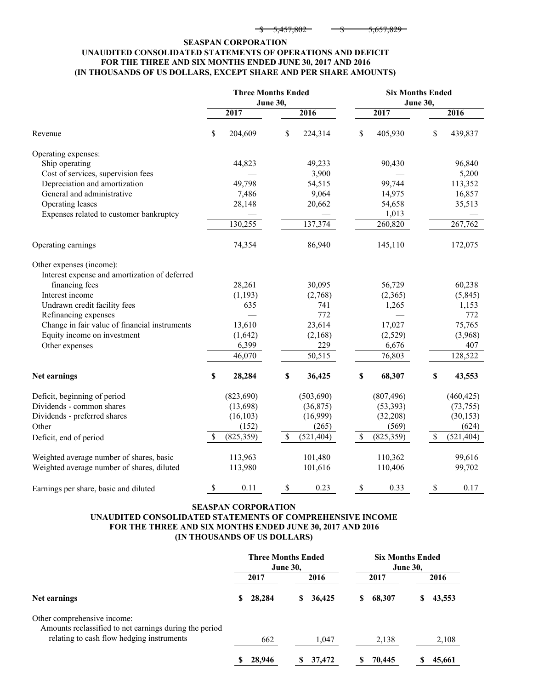| $\epsilon$ <i>AFFLOOD</i> | $\epsilon$ can one |
|---------------------------|--------------------|
| 2.427.00Z                 | 3.037.825          |

## **SEASPAN CORPORATION UNAUDITED CONSOLIDATED STATEMENTS OF OPERATIONS AND DEFICIT FOR THE THREE AND SIX MONTHS ENDED JUNE 30, 2017 AND 2016 (IN THOUSANDS OF US DOLLARS, EXCEPT SHARE AND PER SHARE AMOUNTS)**

|                                               | <b>Three Months Ended</b><br><b>Six Months Ended</b><br>June 30,<br><b>June 30,</b> |                           |            |                  |    |            |
|-----------------------------------------------|-------------------------------------------------------------------------------------|---------------------------|------------|------------------|----|------------|
|                                               | 2017                                                                                |                           | 2016       | 2017             |    | 2016       |
| Revenue                                       | \$<br>204,609                                                                       | \$                        | 224,314    | \$<br>405,930    | \$ | 439,837    |
| Operating expenses:                           |                                                                                     |                           |            |                  |    |            |
| Ship operating                                | 44,823                                                                              |                           | 49,233     | 90,430           |    | 96,840     |
| Cost of services, supervision fees            |                                                                                     |                           | 3,900      |                  |    | 5,200      |
| Depreciation and amortization                 | 49,798                                                                              |                           | 54,515     | 99,744           |    | 113,352    |
| General and administrative                    | 7,486                                                                               |                           | 9,064      | 14,975           |    | 16,857     |
| Operating leases                              | 28,148                                                                              |                           | 20,662     | 54,658           |    | 35,513     |
| Expenses related to customer bankruptcy       |                                                                                     |                           |            | 1,013            |    |            |
|                                               | 130,255                                                                             |                           | 137,374    | 260,820          |    | 267,762    |
| Operating earnings                            | 74,354                                                                              |                           | 86,940     | 145,110          |    | 172,075    |
| Other expenses (income):                      |                                                                                     |                           |            |                  |    |            |
| Interest expense and amortization of deferred |                                                                                     |                           |            |                  |    |            |
| financing fees                                | 28,261                                                                              |                           | 30,095     | 56,729           |    | 60,238     |
| Interest income                               | (1,193)                                                                             |                           | (2,768)    | (2,365)          |    | (5,845)    |
| Undrawn credit facility fees                  | 635                                                                                 |                           | 741        | 1,265            |    | 1,153      |
| Refinancing expenses                          |                                                                                     |                           | 772        |                  |    | 772        |
| Change in fair value of financial instruments | 13,610                                                                              |                           | 23,614     | 17,027           |    | 75,765     |
| Equity income on investment                   | (1,642)                                                                             |                           | (2,168)    | (2,529)          |    | (3,968)    |
| Other expenses                                | 6,399                                                                               |                           | 229        | 6,676            |    | 407        |
|                                               | 46,070                                                                              |                           | 50,515     | 76,803           |    | 128,522    |
| Net earnings                                  | \$<br>28,284                                                                        | \$                        | 36,425     | \$<br>68,307     | \$ | 43,553     |
| Deficit, beginning of period                  | (823, 690)                                                                          |                           | (503, 690) | (807, 496)       |    | (460, 425) |
| Dividends - common shares                     | (13,698)                                                                            |                           | (36,875)   | (53, 393)        |    | (73, 755)  |
| Dividends - preferred shares                  | (16, 103)                                                                           |                           | (16,999)   | (32, 208)        |    | (30, 153)  |
| Other                                         | (152)                                                                               |                           | (265)      | (569)            |    | (624)      |
| Deficit, end of period                        | \$<br>(825, 359)                                                                    | $\boldsymbol{\mathsf{S}}$ | (521, 404) | \$<br>(825, 359) | \$ | (521, 404) |
| Weighted average number of shares, basic      | 113,963                                                                             |                           | 101,480    | 110,362          |    | 99,616     |
| Weighted average number of shares, diluted    | 113,980                                                                             |                           | 101,616    | 110,406          |    | 99,702     |
| Earnings per share, basic and diluted         | \$<br>0.11                                                                          | \$                        | 0.23       | \$<br>0.33       | \$ | 0.17       |

## **SEASPAN CORPORATION UNAUDITED CONSOLIDATED STATEMENTS OF COMPREHENSIVE INCOME FOR THE THREE AND SIX MONTHS ENDED JUNE 30, 2017 AND 2016 (IN THOUSANDS OF US DOLLARS)**

|                                                                                       | <b>Three Months Ended</b><br><b>June 30,</b> |               | <b>Six Months Ended</b><br><b>June 30,</b> |             |  |
|---------------------------------------------------------------------------------------|----------------------------------------------|---------------|--------------------------------------------|-------------|--|
|                                                                                       | 2017                                         | 2016          | 2017                                       | 2016        |  |
| Net earnings                                                                          | 28,284<br>S                                  | 36,425<br>SS. | \$<br>68,307                               | 43,553<br>S |  |
| Other comprehensive income:<br>Amounts reclassified to net earnings during the period |                                              |               |                                            |             |  |
| relating to cash flow hedging instruments                                             | 662                                          | 1,047         | 2,138                                      | 2,108       |  |
|                                                                                       | 28,946<br>S                                  | 37,472<br>S   | 70,445<br>S                                | 45,661      |  |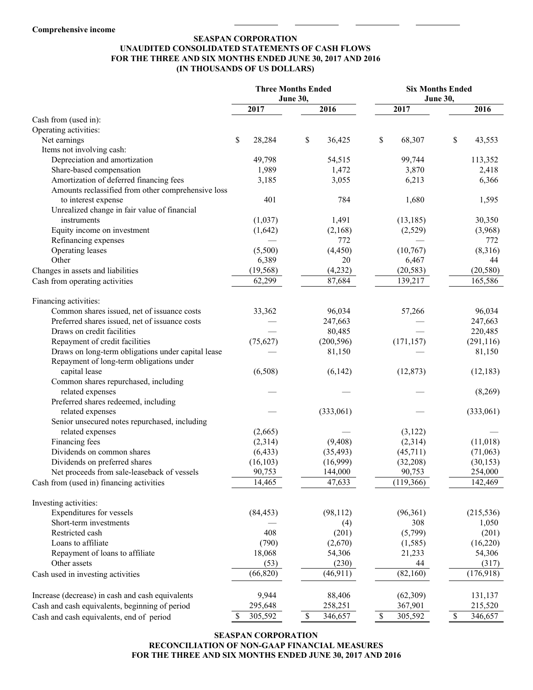## **SEASPAN CORPORATION UNAUDITED CONSOLIDATED STATEMENTS OF CASH FLOWS FOR THE THREE AND SIX MONTHS ENDED JUNE 30, 2017 AND 2016 (IN THOUSANDS OF US DOLLARS)**

|                                                    |              | <b>Three Months Ended</b> | <b>Six Months Ended</b> |               |  |  |
|----------------------------------------------------|--------------|---------------------------|-------------------------|---------------|--|--|
|                                                    |              | June 30,                  |                         | June 30,      |  |  |
|                                                    | 2017         | 2016                      | 2017                    | 2016          |  |  |
| Cash from (used in):                               |              |                           |                         |               |  |  |
| Operating activities:                              |              |                           |                         |               |  |  |
| Net earnings                                       | \$<br>28,284 | \$<br>36,425              | \$<br>68,307            | \$<br>43,553  |  |  |
| Items not involving cash:                          |              |                           |                         |               |  |  |
| Depreciation and amortization                      | 49,798       | 54,515                    | 99,744                  | 113,352       |  |  |
| Share-based compensation                           | 1,989        | 1,472                     | 3,870                   | 2,418         |  |  |
| Amortization of deferred financing fees            | 3,185        | 3,055                     | 6,213                   | 6,366         |  |  |
| Amounts reclassified from other comprehensive loss |              |                           |                         |               |  |  |
| to interest expense                                | 401          | 784                       | 1,680                   | 1,595         |  |  |
| Unrealized change in fair value of financial       |              |                           |                         |               |  |  |
| instruments                                        | (1,037)      | 1,491                     | (13, 185)               | 30,350        |  |  |
| Equity income on investment                        | (1,642)      | (2,168)                   | (2,529)                 | (3,968)       |  |  |
| Refinancing expenses                               |              | 772                       |                         | 772           |  |  |
| Operating leases                                   | (5,500)      | (4, 450)                  | (10,767)                | (8,316)       |  |  |
| Other                                              | 6,389        | 20                        | 6,467                   | 44            |  |  |
| Changes in assets and liabilities                  | (19, 568)    | (4,232)                   | (20, 583)               | (20, 580)     |  |  |
| Cash from operating activities                     | 62,299       | 87,684                    | 139,217                 | 165,586       |  |  |
|                                                    |              |                           |                         |               |  |  |
| Financing activities:                              |              |                           |                         |               |  |  |
| Common shares issued, net of issuance costs        | 33,362       | 96,034                    | 57,266                  | 96,034        |  |  |
| Preferred shares issued, net of issuance costs     |              | 247,663                   |                         | 247,663       |  |  |
| Draws on credit facilities                         |              | 80,485                    |                         | 220,485       |  |  |
| Repayment of credit facilities                     | (75, 627)    | (200, 596)                | (171, 157)              | (291, 116)    |  |  |
| Draws on long-term obligations under capital lease |              | 81,150                    |                         | 81,150        |  |  |
| Repayment of long-term obligations under           |              |                           |                         |               |  |  |
| capital lease                                      | (6,508)      | (6,142)                   | (12, 873)               | (12, 183)     |  |  |
| Common shares repurchased, including               |              |                           |                         |               |  |  |
| related expenses                                   |              |                           |                         | (8,269)       |  |  |
| Preferred shares redeemed, including               |              |                           |                         |               |  |  |
| related expenses                                   |              | (333,061)                 |                         | (333,061)     |  |  |
| Senior unsecured notes repurchased, including      |              |                           |                         |               |  |  |
| related expenses                                   | (2,665)      |                           | (3,122)                 |               |  |  |
| Financing fees                                     | (2,314)      | (9, 408)                  | (2,314)                 | (11,018)      |  |  |
| Dividends on common shares                         | (6, 433)     | (35, 493)                 | (45,711)                | (71,063)      |  |  |
| Dividends on preferred shares                      | (16, 103)    | (16,999)                  | (32,208)                | (30, 153)     |  |  |
| Net proceeds from sale-leaseback of vessels        | 90,753       | 144,000                   | 90,753                  | 254,000       |  |  |
| Cash from (used in) financing activities           | 14,465       | 47,633                    | (119,366)               | 142,469       |  |  |
|                                                    |              |                           |                         |               |  |  |
| Investing activities:                              |              |                           |                         |               |  |  |
| Expenditures for vessels                           | (84, 453)    | (98, 112)                 | (96, 361)               | (215, 536)    |  |  |
| Short-term investments                             |              | (4)                       | 308                     | 1,050         |  |  |
| Restricted cash                                    | 408          | (201)                     | (5,799)                 | (201)         |  |  |
| Loans to affiliate                                 | (790)        | (2,670)                   | (1, 585)                | (16,220)      |  |  |
| Repayment of loans to affiliate                    | 18,068       | 54,306                    | 21,233                  | 54,306        |  |  |
| Other assets                                       | (53)         | (230)                     | 44                      | (317)         |  |  |
|                                                    |              |                           |                         |               |  |  |
| Cash used in investing activities                  | (66, 820)    | (46, 911)                 | (82,160)                | (176,918)     |  |  |
|                                                    |              |                           |                         |               |  |  |
| Increase (decrease) in cash and cash equivalents   | 9,944        | 88,406                    | (62, 309)               | 131,137       |  |  |
| Cash and cash equivalents, beginning of period     | 295,648      | 258,251                   | 367,901                 | 215,520       |  |  |
| Cash and cash equivalents, end of period           | S<br>305,592 | \$<br>346,657             | \$<br>305,592           | \$<br>346,657 |  |  |

## **SEASPAN CORPORATION RECONCILIATION OF NON-GAAP FINANCIAL MEASURES FOR THE THREE AND SIX MONTHS ENDED JUNE 30, 2017 AND 2016**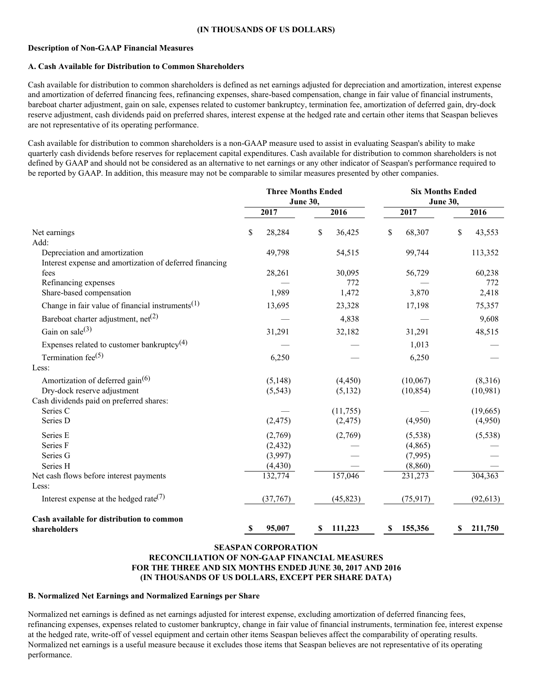#### **(IN THOUSANDS OF US DOLLARS)**

#### **Description of Non-GAAP Financial Measures**

#### **A. Cash Available for Distribution to Common Shareholders**

Cash available for distribution to common shareholders is defined as net earnings adjusted for depreciation and amortization, interest expense and amortization of deferred financing fees, refinancing expenses, share-based compensation, change in fair value of financial instruments, bareboat charter adjustment, gain on sale, expenses related to customer bankruptcy, termination fee, amortization of deferred gain, dry-dock reserve adjustment, cash dividends paid on preferred shares, interest expense at the hedged rate and certain other items that Seaspan believes are not representative of its operating performance.

Cash available for distribution to common shareholders is a non-GAAP measure used to assist in evaluating Seaspan's ability to make quarterly cash dividends before reserves for replacement capital expenditures. Cash available for distribution to common shareholders is not defined by GAAP and should not be considered as an alternative to net earnings or any other indicator of Seaspan's performance required to be reported by GAAP. In addition, this measure may not be comparable to similar measures presented by other companies.

|                                                                                          | <b>Three Months Ended</b><br><b>June 30,</b> |                      | <b>Six Months Ended</b><br><b>June 30,</b> |                     |  |
|------------------------------------------------------------------------------------------|----------------------------------------------|----------------------|--------------------------------------------|---------------------|--|
|                                                                                          | 2017                                         | 2016                 | 2017                                       | 2016                |  |
| Net earnings<br>Add:                                                                     | \$<br>28,284                                 | \$<br>36,425         | \$<br>68,307                               | \$<br>43,553        |  |
| Depreciation and amortization<br>Interest expense and amortization of deferred financing | 49,798                                       | 54,515               | 99,744                                     | 113,352             |  |
| fees<br>Refinancing expenses                                                             | 28,261                                       | 30,095<br>772        | 56,729                                     | 60,238<br>772       |  |
| Share-based compensation<br>Change in fair value of financial instruments <sup>(1)</sup> | 1,989<br>13,695                              | 1,472<br>23,328      | 3,870<br>17,198                            | 2,418<br>75,357     |  |
| Bareboat charter adjustment, $net(2)$<br>Gain on sale $(3)$                              | 31,291                                       | 4,838<br>32,182      | 31,291                                     | 9,608<br>48,515     |  |
| Expenses related to customer bankruptcy <sup>(4)</sup>                                   |                                              |                      | 1,013                                      |                     |  |
| Termination fee $(5)$<br>Less:                                                           | 6,250                                        |                      | 6,250                                      |                     |  |
| Amortization of deferred gain <sup>(6)</sup><br>Dry-dock reserve adjustment              | (5, 148)<br>(5, 543)                         | (4, 450)<br>(5, 132) | (10,067)<br>(10, 854)                      | (8,316)<br>(10,981) |  |
| Cash dividends paid on preferred shares:<br>Series C                                     |                                              | (11, 755)            |                                            | (19,665)            |  |
| Series D<br>Series E                                                                     | (2, 475)<br>(2,769)                          | (2, 475)<br>(2,769)  | (4,950)<br>(5, 538)                        | (4,950)<br>(5,538)  |  |
| Series F<br>Series G                                                                     | (2, 432)<br>(3,997)                          |                      | (4,865)<br>(7,995)                         |                     |  |
| Series H<br>Net cash flows before interest payments<br>Less:                             | (4, 430)<br>132,774                          | 157,046              | (8, 860)<br>231,273                        | 304,363             |  |
| Interest expense at the hedged rate <sup>(7)</sup>                                       | (37,767)                                     | (45, 823)            | (75, 917)                                  | (92, 613)           |  |
| Cash available for distribution to common<br>shareholders                                | 95,007<br>\$                                 | 111,223<br>\$        | 155,356<br>\$                              | 211,750<br>S        |  |

## **SEASPAN CORPORATION RECONCILIATION OF NON-GAAP FINANCIAL MEASURES FOR THE THREE AND SIX MONTHS ENDED JUNE 30, 2017 AND 2016 (IN THOUSANDS OF US DOLLARS, EXCEPT PER SHARE DATA)**

#### **B. Normalized Net Earnings and Normalized Earnings per Share**

Normalized net earnings is defined as net earnings adjusted for interest expense, excluding amortization of deferred financing fees, refinancing expenses, expenses related to customer bankruptcy, change in fair value of financial instruments, termination fee, interest expense at the hedged rate, write-off of vessel equipment and certain other items Seaspan believes affect the comparability of operating results. Normalized net earnings is a useful measure because it excludes those items that Seaspan believes are not representative of its operating performance.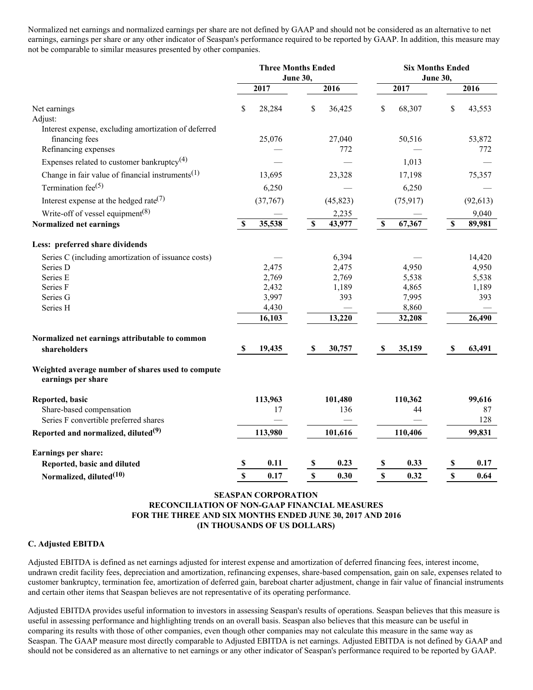Normalized net earnings and normalized earnings per share are not defined by GAAP and should not be considered as an alternative to net earnings, earnings per share or any other indicator of Seaspan's performance required to be reported by GAAP. In addition, this measure may not be comparable to similar measures presented by other companies.

|                                                                                                | <b>Three Months Ended</b><br><b>June 30,</b> |                                | <b>Six Months Ended</b><br><b>June 30,</b> |               |                           |                 |               |               |
|------------------------------------------------------------------------------------------------|----------------------------------------------|--------------------------------|--------------------------------------------|---------------|---------------------------|-----------------|---------------|---------------|
|                                                                                                |                                              | 2017                           |                                            | 2016          |                           | 2017            |               | 2016          |
| Net earnings<br>Adjust:                                                                        | \$                                           | 28,284                         | \$                                         | 36,425        | \$                        | 68,307          | \$            | 43,553        |
| Interest expense, excluding amortization of deferred<br>financing fees<br>Refinancing expenses |                                              | 25,076                         |                                            | 27,040<br>772 |                           | 50,516          |               | 53,872<br>772 |
| Expenses related to customer bankruptcy <sup>(4)</sup>                                         |                                              |                                |                                            |               |                           | 1,013           |               |               |
| Change in fair value of financial instruments <sup>(1)</sup>                                   |                                              | 13,695                         |                                            | 23,328        |                           | 17,198          |               | 75,357        |
| Termination fee $(5)$                                                                          |                                              | 6,250                          |                                            |               |                           | 6,250           |               |               |
| Interest expense at the hedged rate <sup>(7)</sup>                                             |                                              | (37,767)                       |                                            | (45, 823)     |                           | (75, 917)       |               | (92, 613)     |
| Write-off of vessel equipment <sup>(8)</sup>                                                   |                                              |                                |                                            | 2,235         |                           |                 |               | 9,040         |
| Normalized net earnings                                                                        | \$                                           | 35,538                         | \$                                         | 43,977        | \$                        | 67,367          | \$            | 89,981        |
| Less: preferred share dividends                                                                |                                              |                                |                                            |               |                           |                 |               |               |
| Series C (including amortization of issuance costs)                                            |                                              |                                |                                            | 6,394         |                           |                 |               | 14,420        |
| Series D                                                                                       |                                              | 2,475                          |                                            | 2,475         |                           | 4,950           |               | 4,950         |
| Series E                                                                                       |                                              | 2,769                          |                                            | 2,769         |                           | 5,538           |               | 5,538         |
| Series F                                                                                       |                                              | 2,432                          |                                            | 1,189         |                           | 4,865           |               | 1,189         |
| Series G                                                                                       |                                              | 3,997                          |                                            | 393           |                           | 7,995           |               | 393           |
| Series H                                                                                       |                                              | 4,430<br>16,103                |                                            | 13,220        |                           | 8,860<br>32,208 |               | 26,490        |
|                                                                                                |                                              |                                |                                            |               |                           |                 |               |               |
| Normalized net earnings attributable to common<br>shareholders                                 | S                                            | 19,435                         | $\mathbf{\$}$                              | 30,757        | <sup>\$</sup>             | 35,159          | <b>S</b>      | 63,491        |
|                                                                                                |                                              |                                |                                            |               |                           |                 |               |               |
| Weighted average number of shares used to compute<br>earnings per share                        |                                              |                                |                                            |               |                           |                 |               |               |
| Reported, basic                                                                                |                                              | 113,963                        |                                            | 101,480       |                           | 110,362         |               | 99,616        |
| Share-based compensation                                                                       |                                              | 17                             |                                            | 136           |                           | 44              |               | 87            |
| Series F convertible preferred shares                                                          |                                              |                                |                                            |               |                           |                 |               | 128           |
| Reported and normalized, diluted <sup>(9)</sup>                                                |                                              | 113,980                        |                                            | 101,616       |                           | 110,406         |               | 99,831        |
| Earnings per share:                                                                            |                                              |                                |                                            |               |                           |                 |               |               |
| Reported, basic and diluted                                                                    | \$                                           | 0.11                           | \$                                         | 0.23          | $\boldsymbol{\mathsf{S}}$ | 0.33            | \$            | 0.17          |
| Normalized, diluted <sup>(10)</sup>                                                            | $\mathbf S$                                  | 0.17                           | $\mathbf S$                                | 0.30          | $\mathbf{\hat{s}}$        | 0.32            | $\mathbf{\$}$ | 0.64          |
|                                                                                                |                                              | <b>CE LOB LNI CORROB LTION</b> |                                            |               |                           |                 |               |               |

#### **SEASPAN CORPORATION RECONCILIATION OF NON-GAAP FINANCIAL MEASURES FOR THE THREE AND SIX MONTHS ENDED JUNE 30, 2017 AND 2016 (IN THOUSANDS OF US DOLLARS)**

#### **C. Adjusted EBITDA**

Adjusted EBITDA is defined as net earnings adjusted for interest expense and amortization of deferred financing fees, interest income, undrawn credit facility fees, depreciation and amortization, refinancing expenses, share-based compensation, gain on sale, expenses related to customer bankruptcy, termination fee, amortization of deferred gain, bareboat charter adjustment, change in fair value of financial instruments and certain other items that Seaspan believes are not representative of its operating performance.

Adjusted EBITDA provides useful information to investors in assessing Seaspan's results of operations. Seaspan believes that this measure is useful in assessing performance and highlighting trends on an overall basis. Seaspan also believes that this measure can be useful in comparing its results with those of other companies, even though other companies may not calculate this measure in the same way as Seaspan. The GAAP measure most directly comparable to Adjusted EBITDA is net earnings. Adjusted EBITDA is not defined by GAAP and should not be considered as an alternative to net earnings or any other indicator of Seaspan's performance required to be reported by GAAP.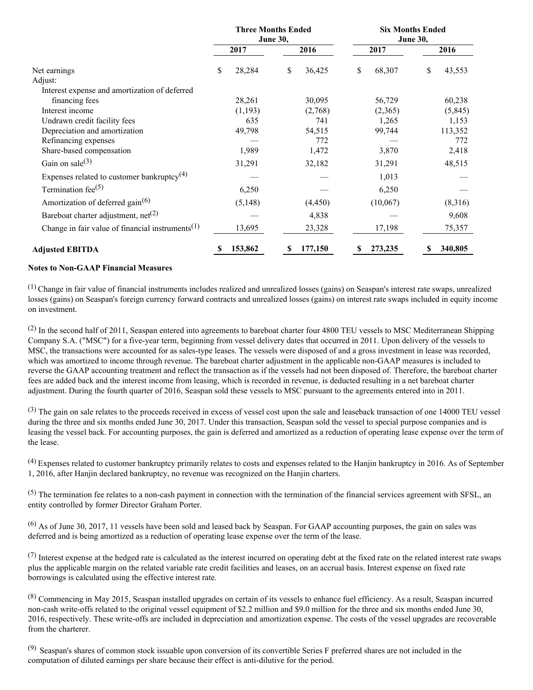|                                                              | <b>Three Months Ended</b><br><b>June 30,</b> |              | <b>Six Months Ended</b><br><b>June 30,</b> |              |  |  |
|--------------------------------------------------------------|----------------------------------------------|--------------|--------------------------------------------|--------------|--|--|
|                                                              | 2017                                         | 2016         | 2017                                       | 2016         |  |  |
| Net earnings                                                 | \$<br>28,284                                 | \$<br>36,425 | 68,307<br>\$                               | \$<br>43,553 |  |  |
| Adjust:                                                      |                                              |              |                                            |              |  |  |
| Interest expense and amortization of deferred                |                                              |              |                                            |              |  |  |
| financing fees                                               | 28,261                                       | 30,095       | 56,729                                     | 60,238       |  |  |
| Interest income                                              | (1,193)                                      | (2,768)      | (2,365)                                    | (5, 845)     |  |  |
| Undrawn credit facility fees                                 | 635                                          | 741          | 1,265                                      | 1,153        |  |  |
| Depreciation and amortization                                | 49,798                                       | 54,515       | 99,744                                     | 113,352      |  |  |
| Refinancing expenses                                         |                                              | 772          |                                            | 772          |  |  |
| Share-based compensation                                     | 1,989                                        | 1,472        | 3,870                                      | 2,418        |  |  |
| Gain on sale $(3)$                                           | 31,291                                       | 32,182       | 31,291                                     | 48,515       |  |  |
| Expenses related to customer bankruptcy <sup>(4)</sup>       |                                              |              | 1,013                                      |              |  |  |
| Termination fee $(5)$                                        | 6,250                                        |              | 6,250                                      |              |  |  |
| Amortization of deferred gain <sup>(6)</sup>                 | (5,148)                                      | (4, 450)     | (10,067)                                   | (8,316)      |  |  |
| Bareboat charter adjustment, $net(2)$                        |                                              | 4,838        |                                            | 9,608        |  |  |
| Change in fair value of financial instruments <sup>(1)</sup> | 13,695                                       | 23,328       | 17,198                                     | 75,357       |  |  |
| <b>Adjusted EBITDA</b>                                       | 153,862                                      | 177,150<br>S | 273,235<br>S                               | 340,805      |  |  |

## **Notes to Non-GAAP Financial Measures**

(1) Change in fair value of financial instruments includes realized and unrealized losses (gains) on Seaspan's interest rate swaps, unrealized losses (gains) on Seaspan's foreign currency forward contracts and unrealized losses (gains) on interest rate swaps included in equity income on investment.

(2) In the second half of 2011, Seaspan entered into agreements to bareboat charter four 4800 TEU vessels to MSC Mediterranean Shipping Company S.A. ("MSC") for a five-year term, beginning from vessel delivery dates that occurred in 2011. Upon delivery of the vessels to MSC, the transactions were accounted for as sales-type leases. The vessels were disposed of and a gross investment in lease was recorded, which was amortized to income through revenue. The bareboat charter adjustment in the applicable non-GAAP measures is included to reverse the GAAP accounting treatment and reflect the transaction as if the vessels had not been disposed of. Therefore, the bareboat charter fees are added back and the interest income from leasing, which is recorded in revenue, is deducted resulting in a net bareboat charter adjustment. During the fourth quarter of 2016, Seaspan sold these vessels to MSC pursuant to the agreements entered into in 2011.

 $^{(3)}$  The gain on sale relates to the proceeds received in excess of vessel cost upon the sale and leaseback transaction of one 14000 TEU vessel during the three and six months ended June 30, 2017. Under this transaction, Seaspan sold the vessel to special purpose companies and is leasing the vessel back. For accounting purposes, the gain is deferred and amortized as a reduction of operating lease expense over the term of the lease.

(4) Expenses related to customer bankruptcy primarily relates to costs and expenses related to the Hanjin bankruptcy in 2016. As of September 1, 2016, after Hanjin declared bankruptcy, no revenue was recognized on the Hanjin charters.

 $(5)$  The termination fee relates to a non-cash payment in connection with the termination of the financial services agreement with SFSL, an entity controlled by former Director Graham Porter.

(6) As of June 30, 2017, 11 vessels have been sold and leased back by Seaspan. For GAAP accounting purposes, the gain on sales was deferred and is being amortized as a reduction of operating lease expense over the term of the lease.

 $(7)$  Interest expense at the hedged rate is calculated as the interest incurred on operating debt at the fixed rate on the related interest rate swaps plus the applicable margin on the related variable rate credit facilities and leases, on an accrual basis. Interest expense on fixed rate borrowings is calculated using the effective interest rate.

(8) Commencing in May 2015, Seaspan installed upgrades on certain of its vessels to enhance fuel efficiency. As a result, Seaspan incurred non-cash write-offs related to the original vessel equipment of \$2.2 million and \$9.0 million for the three and six months ended June 30, 2016, respectively. These write-offs are included in depreciation and amortization expense. The costs of the vessel upgrades are recoverable from the charterer.

(9) Seaspan's shares of common stock issuable upon conversion of its convertible Series F preferred shares are not included in the computation of diluted earnings per share because their effect is anti-dilutive for the period.